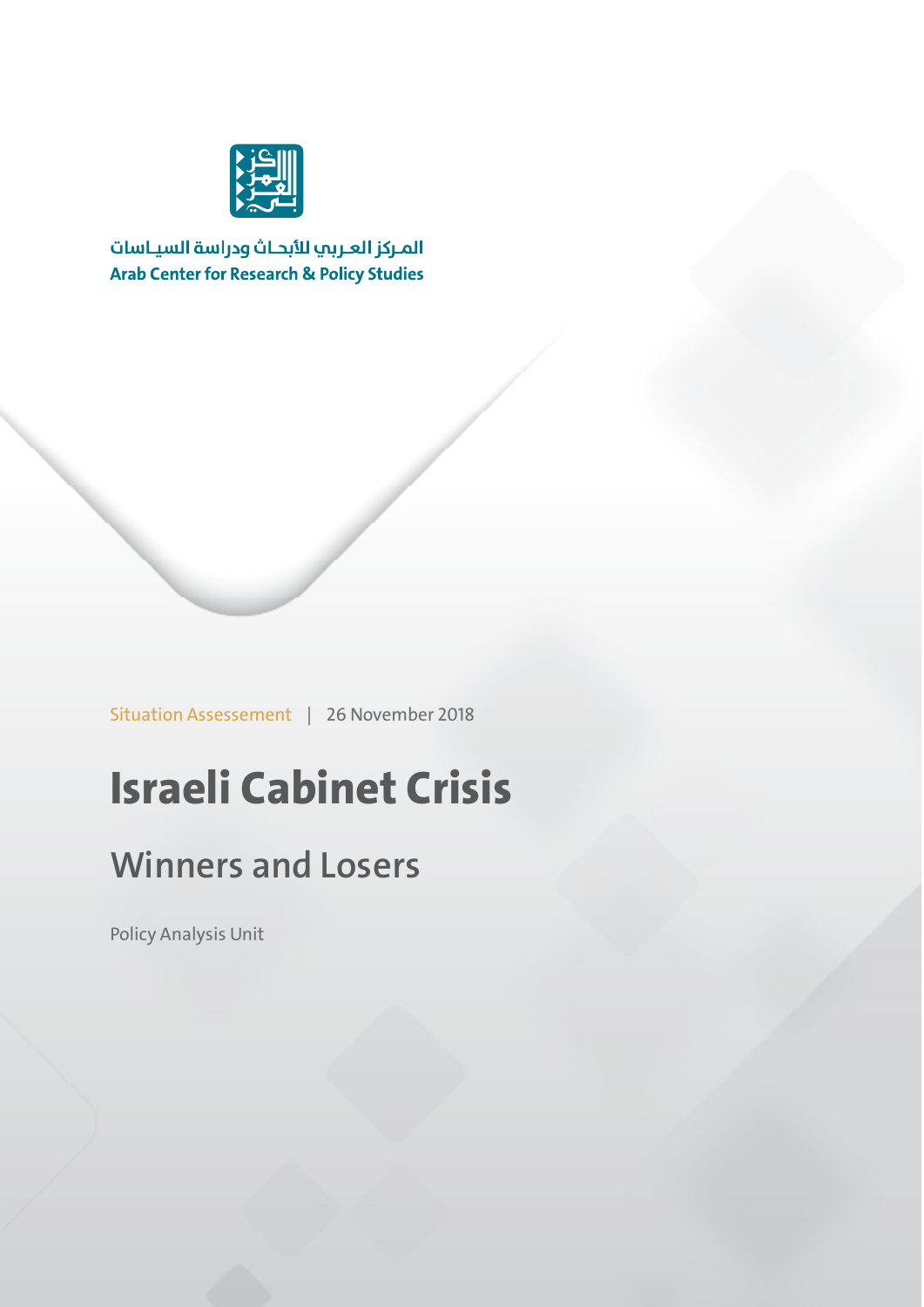

المركز العربب للأبحاث ودراسة السياسات **Arab Center for Research & Policy Studies** 

Situation Assessement | 26 November 2018

## **Israeli Cabinet Crisis**

## **Winners and Losers**

Policy Analysis Unit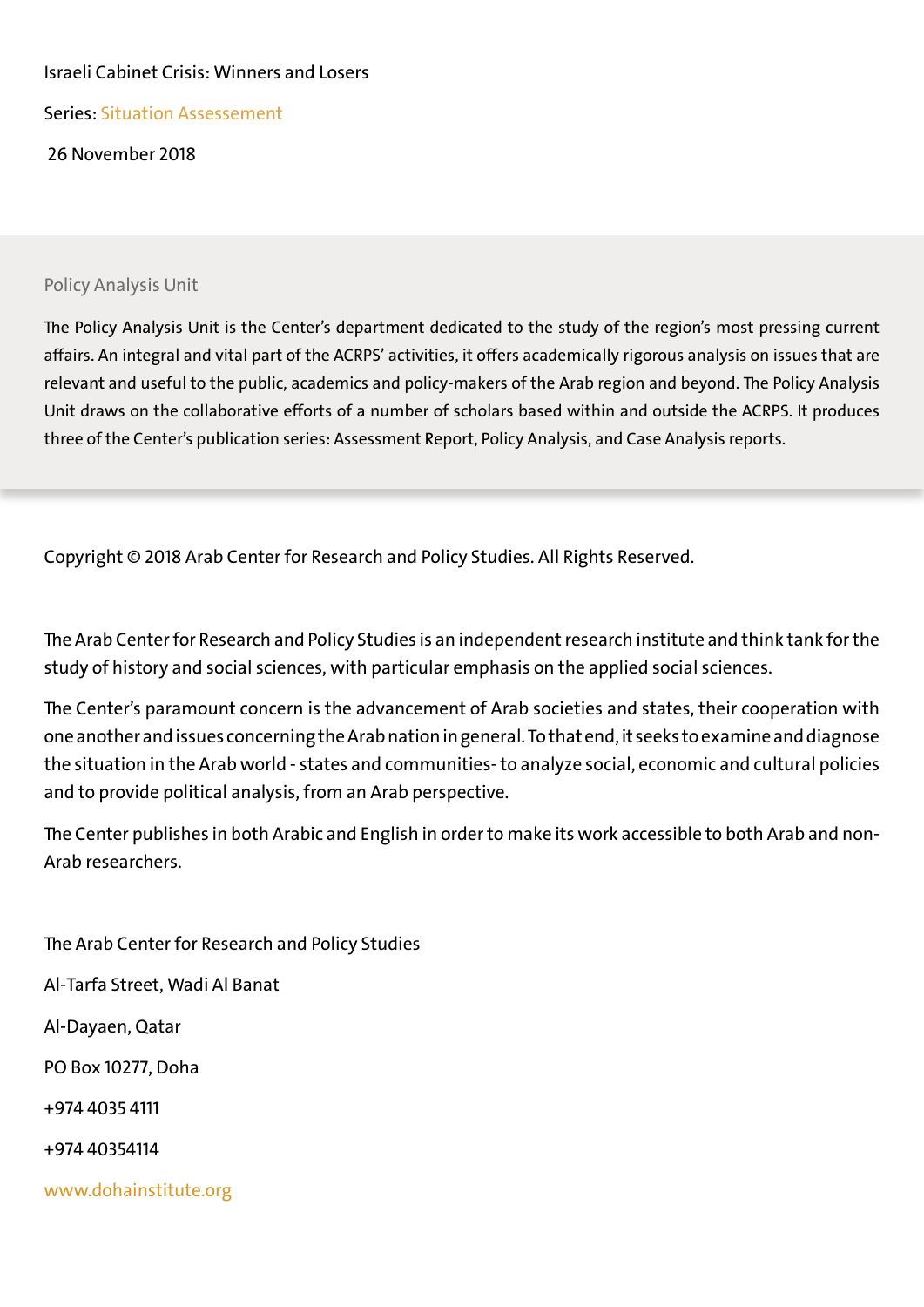#### Israeli Cabinet Crisis: Winners and Losers

Series: Situation Assessement

26 November 2018

#### Policy Analysis Unit

The Policy Analysis Unit is the Center's department dedicated to the study of the region's most pressing current affairs. An integral and vital part of the ACRPS' activities, it offers academically rigorous analysis on issues that are relevant and useful to the public, academics and policy-makers of the Arab region and beyond. The Policy Analysis Unit draws on the collaborative efforts of a number of scholars based within and outside the ACRPS. It produces three of the Center's publication series: Assessment Report, Policy Analysis, and Case Analysis reports.

Copyright © 2018 Arab Center for Research and Policy Studies. All Rights Reserved.

The Arab Center for Research and Policy Studies is an independent research institute and think tank for the study of history and social sciences, with particular emphasis on the applied social sciences.

The Center's paramount concern is the advancement of Arab societies and states, their cooperation with one another and issues concerning the Arab nation in general. To that end, it seeks to examine and diagnose the situation in the Arab world - states and communities- to analyze social, economic and cultural policies and to provide political analysis, from an Arab perspective.

The Center publishes in both Arabic and English in order to make its work accessible to both Arab and non-Arab researchers.

The Arab Center for Research and Policy Studies Al-Tarfa Street, Wadi Al Banat Al-Dayaen, Qatar PO Box 10277, Doha +974 4035 4111 +974 40354114 www.dohainstitute.org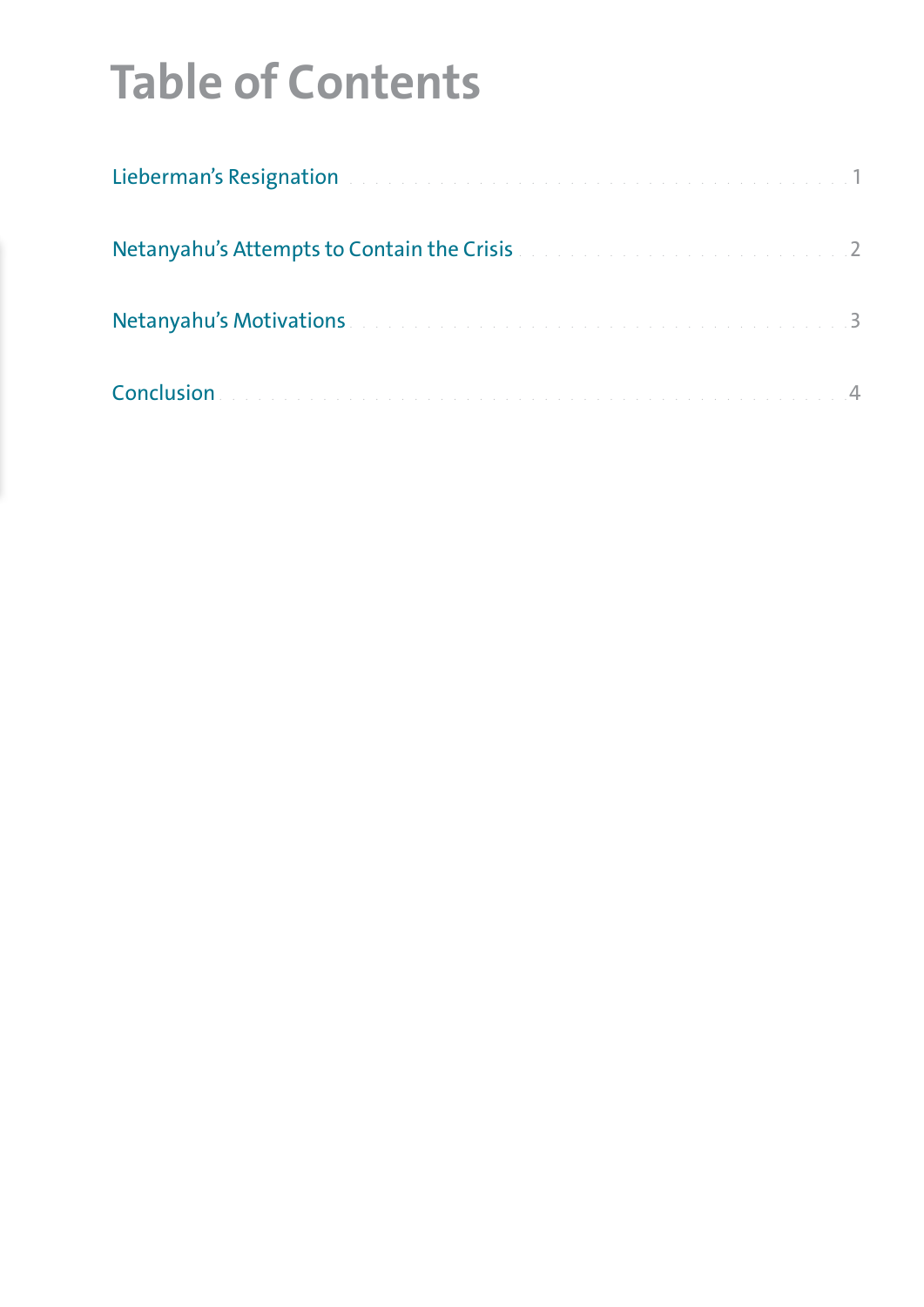# **Table of Contents**

| Lieberman's Resignation and a construction of the construction of the construction of 1 |  |
|-----------------------------------------------------------------------------------------|--|
| Netanyahu's Attempts to Contain the Crisis and an american containing 2                 |  |
| Netanyahu's Motivations and a construction of the construction of the construction of 3 |  |
|                                                                                         |  |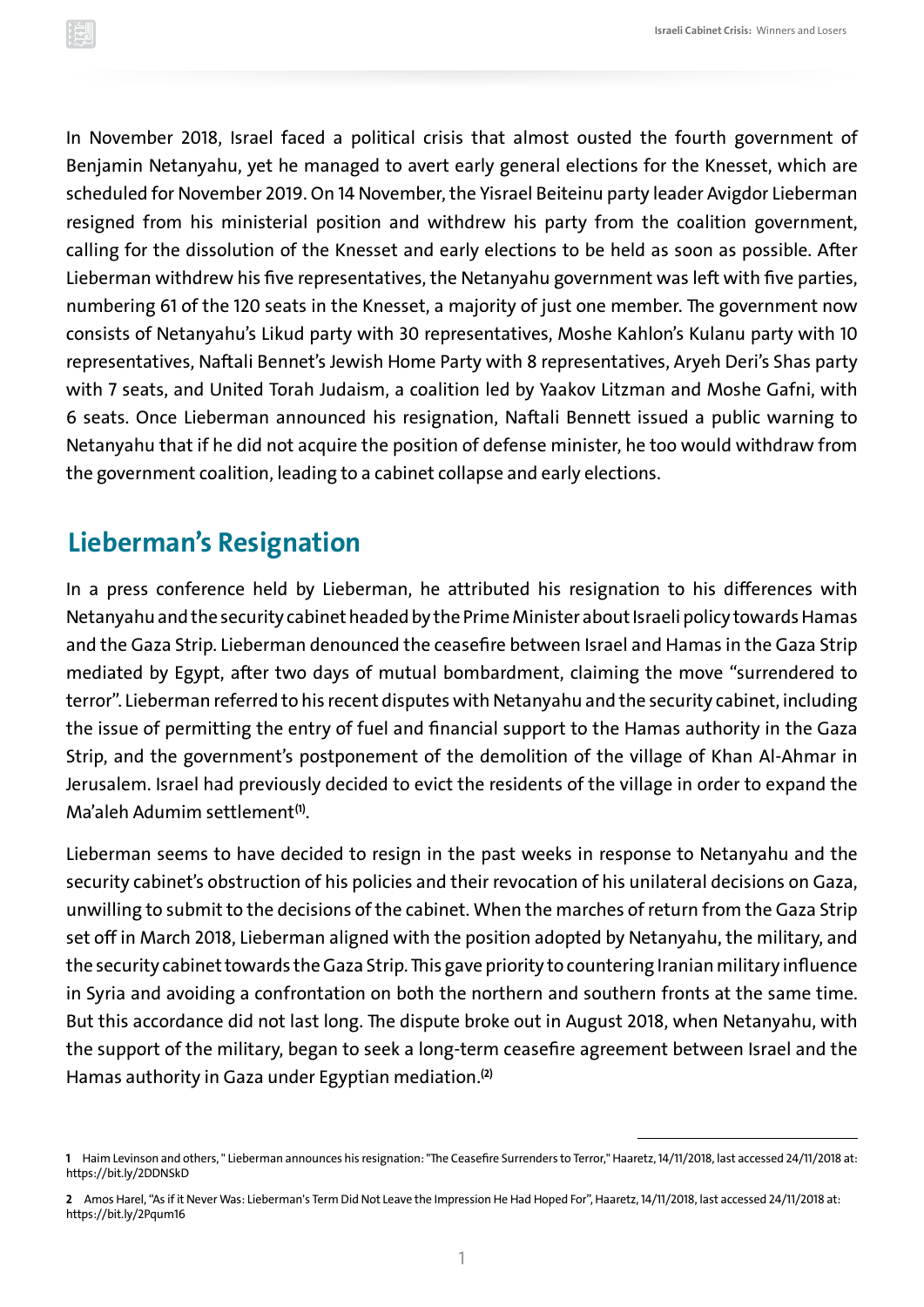<span id="page-3-0"></span>In November 2018, Israel faced a political crisis that almost ousted the fourth government of Benjamin Netanyahu, yet he managed to avert early general elections for the Knesset, which are scheduled for November 2019. On 14 November, the Yisrael Beiteinu party leader Avigdor Lieberman resigned from his ministerial position and withdrew his party from the coalition government, calling for the dissolution of the Knesset and early elections to be held as soon as possible. After Lieberman withdrew his five representatives, the Netanyahu government was left with five parties, numbering 61 of the 120 seats in the Knesset, a majority of just one member. The government now consists of Netanyahu's Likud party with 30 representatives, Moshe Kahlon's Kulanu party with 10 representatives, Naftali Bennet's Jewish Home Party with 8 representatives, Aryeh Deri's Shas party with 7 seats, and United Torah Judaism, a coalition led by Yaakov Litzman and Moshe Gafni, with 6 seats. Once Lieberman announced his resignation, Naftali Bennett issued a public warning to Netanyahu that if he did not acquire the position of defense minister, he too would withdraw from the government coalition, leading to a cabinet collapse and early elections.

### **Lieberman's Resignation**

In a press conference held by Lieberman, he attributed his resignation to his differences with Netanyahu and the security cabinet headed by the Prime Minister about Israeli policy towards Hamas and the Gaza Strip. Lieberman denounced the ceasefire between Israel and Hamas in the Gaza Strip mediated by Egypt, after two days of mutual bombardment, claiming the move "surrendered to terror". Lieberman referred to his recent disputes with Netanyahu and the security cabinet, including the issue of permitting the entry of fuel and financial support to the Hamas authority in the Gaza Strip, and the government's postponement of the demolition of the village of Khan Al-Ahmar in Jerusalem. Israel had previously decided to evict the residents of the village in order to expand the Ma'aleh Adumim settlement **(1)**.

Lieberman seems to have decided to resign in the past weeks in response to Netanyahu and the security cabinet's obstruction of his policies and their revocation of his unilateral decisions on Gaza, unwilling to submit to the decisions of the cabinet. When the marches of return from the Gaza Strip set off in March 2018, Lieberman aligned with the position adopted by Netanyahu, the military, and the security cabinet towards the Gaza Strip. This gave priority to countering Iranian military influence in Syria and avoiding a confrontation on both the northern and southern fronts at the same time. But this accordance did not last long. The dispute broke out in August 2018, when Netanyahu, with the support of the military, began to seek a long-term ceasefire agreement between Israel and the Hamas authority in Gaza under Egyptian mediation.**(2)**

**<sup>1</sup>** Haim Levinson and others, " Lieberman announces his resignation: "The Ceasefire Surrenders to Terror," Haaretz, 14/11/2018, last accessed 24/11/2018 at: <https://bit.ly/2DDNSkD>

**<sup>2</sup>** Amos Harel, "As if it Never Was: Lieberman's Term Did Not Leave the Impression He Had Hoped For", Haaretz, 14/11/2018, last accessed 24/11/2018 at: <https://bit.ly/2Pqum16>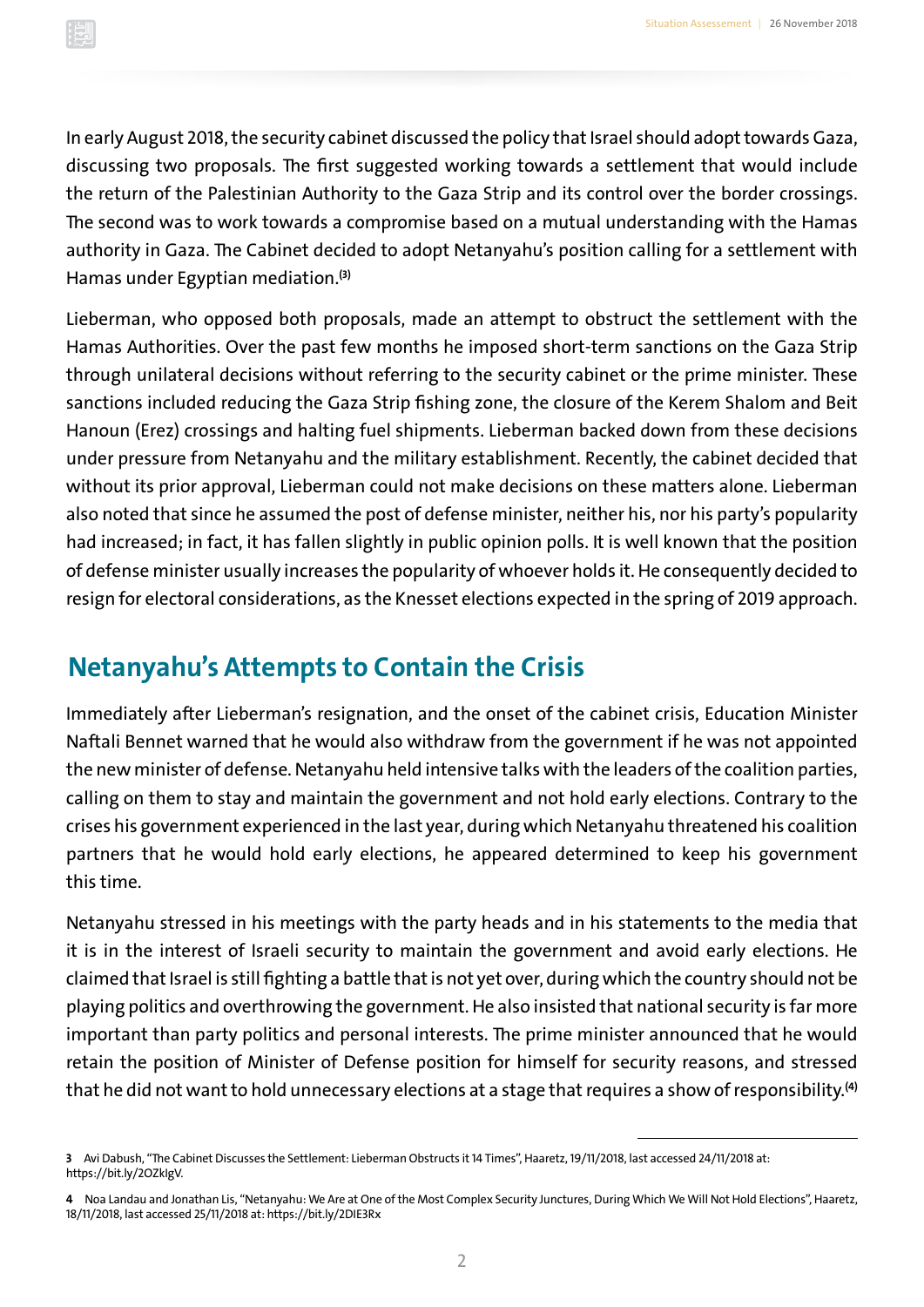<span id="page-4-0"></span>In early August 2018, the security cabinet discussed the policy that Israel should adopt towards Gaza, discussing two proposals. The first suggested working towards a settlement that would include the return of the Palestinian Authority to the Gaza Strip and its control over the border crossings. The second was to work towards a compromise based on a mutual understanding with the Hamas authority in Gaza. The Cabinet decided to adopt Netanyahu's position calling for a settlement with Hamas under Egyptian mediation.**(3)**

Lieberman, who opposed both proposals, made an attempt to obstruct the settlement with the Hamas Authorities. Over the past few months he imposed short-term sanctions on the Gaza Strip through unilateral decisions without referring to the security cabinet or the prime minister. These sanctions included reducing the Gaza Strip fishing zone, the closure of the Kerem Shalom and Beit Hanoun (Erez) crossings and halting fuel shipments. Lieberman backed down from these decisions under pressure from Netanyahu and the military establishment. Recently, the cabinet decided that without its prior approval, Lieberman could not make decisions on these matters alone. Lieberman also noted that since he assumed the post of defense minister, neither his, nor his party's popularity had increased; in fact, it has fallen slightly in public opinion polls. It is well known that the position of defense minister usually increases the popularity of whoever holds it. He consequently decided to resign for electoral considerations, as the Knesset elections expected in the spring of 2019 approach.

### **Netanyahu's Attempts to Contain the Crisis**

Immediately after Lieberman's resignation, and the onset of the cabinet crisis, Education Minister Naftali Bennet warned that he would also withdraw from the government if he was not appointed the new minister of defense. Netanyahu held intensive talks with the leaders of the coalition parties, calling on them to stay and maintain the government and not hold early elections. Contrary to the crises his government experienced in the last year, during which Netanyahu threatened his coalition partners that he would hold early elections, he appeared determined to keep his government this time.

Netanyahu stressed in his meetings with the party heads and in his statements to the media that it is in the interest of Israeli security to maintain the government and avoid early elections. He claimed that Israel is still fighting a battle that is not yet over, during which the country should not be playing politics and overthrowing the government. He also insisted that national security is far more important than party politics and personal interests. The prime minister announced that he would retain the position of Minister of Defense position for himself for security reasons, and stressed that he did not want to hold unnecessary elections at a stage that requires a show of responsibility.**(4)**

**<sup>3</sup>** Avi Dabush, "The Cabinet Discusses the Settlement: Lieberman Obstructs it 14 Times", Haaretz, 19/11/2018, last accessed 24/11/2018 at: <https://bit.ly/2OZkIgV>.

**<sup>4</sup>** Noa Landau and Jonathan Lis, "Netanyahu: We Are at One of the Most Complex Security Junctures, During Which We Will Not Hold Elections", Haaretz, 18/11/2018, last accessed 25/11/2018 at:<https://bit.ly/2DIE3Rx>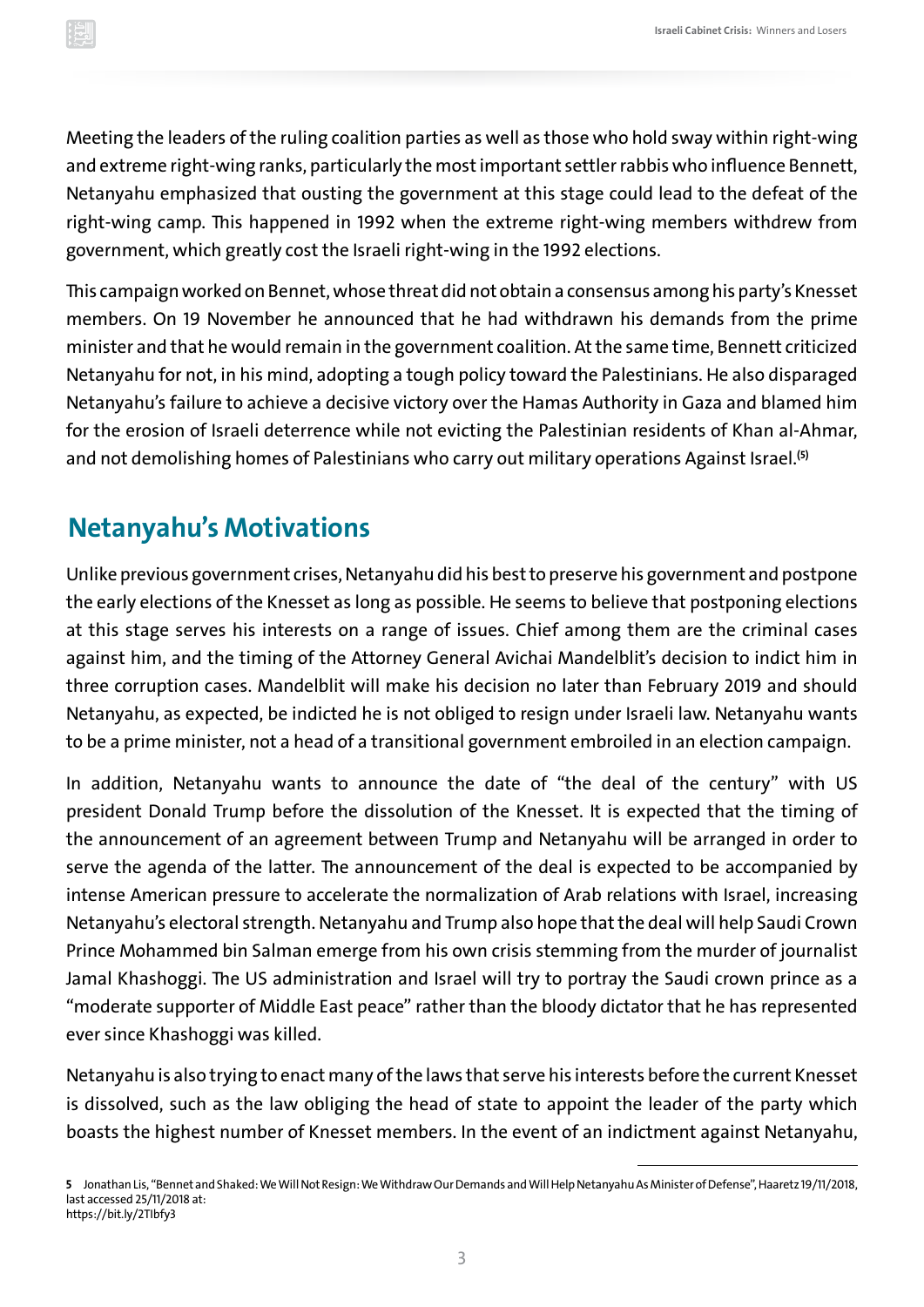<span id="page-5-0"></span>Meeting the leaders of the ruling coalition parties as well as those who hold sway within right-wing and extreme right-wing ranks, particularly the most important settler rabbis who influence Bennett, Netanyahu emphasized that ousting the government at this stage could lead to the defeat of the right-wing camp. This happened in 1992 when the extreme right-wing members withdrew from government, which greatly cost the Israeli right-wing in the 1992 elections.

This campaign worked on Bennet, whose threat did not obtain a consensus among his party's Knesset members. On 19 November he announced that he had withdrawn his demands from the prime minister and that he would remain in the government coalition. At the same time, Bennett criticized Netanyahu for not, in his mind, adopting a tough policy toward the Palestinians. He also disparaged Netanyahu's failure to achieve a decisive victory over the Hamas Authority in Gaza and blamed him for the erosion of Israeli deterrence while not evicting the Palestinian residents of Khan al-Ahmar, and not demolishing homes of Palestinians who carry out military operations Against Israel.**(5)**

### **Netanyahu's Motivations**

Unlike previous government crises, Netanyahu did his best to preserve his government and postpone the early elections of the Knesset as long as possible. He seems to believe that postponing elections at this stage serves his interests on a range of issues. Chief among them are the criminal cases against him, and the timing of the Attorney General Avichai Mandelblit's decision to indict him in three corruption cases. Mandelblit will make his decision no later than February 2019 and should Netanyahu, as expected, be indicted he is not obliged to resign under Israeli law. Netanyahu wants to be a prime minister, not a head of a transitional government embroiled in an election campaign.

In addition, Netanyahu wants to announce the date of "the deal of the century" with US president Donald Trump before the dissolution of the Knesset. It is expected that the timing of the announcement of an agreement between Trump and Netanyahu will be arranged in order to serve the agenda of the latter. The announcement of the deal is expected to be accompanied by intense American pressure to accelerate the normalization of Arab relations with Israel, increasing Netanyahu's electoral strength. Netanyahu and Trump also hope that the deal will help Saudi Crown Prince Mohammed bin Salman emerge from his own crisis stemming from the murder of journalist Jamal Khashoggi. The US administration and Israel will try to portray the Saudi crown prince as a "moderate supporter of Middle East peace" rather than the bloody dictator that he has represented ever since Khashoggi was killed.

Netanyahu is also trying to enact many of the laws that serve his interests before the current Knesset is dissolved, such as the law obliging the head of state to appoint the leader of the party which boasts the highest number of Knesset members. In the event of an indictment against Netanyahu,

**<sup>5</sup>** Jonathan Lis, "Bennet and Shaked: We Will Not Resign: We Withdraw Our Demands and Will Help Netanyahu As Minister of Defense", Haaretz 19/11/2018, last accessed 25/11/2018 at: <https://bit.ly/2TIbfy3>